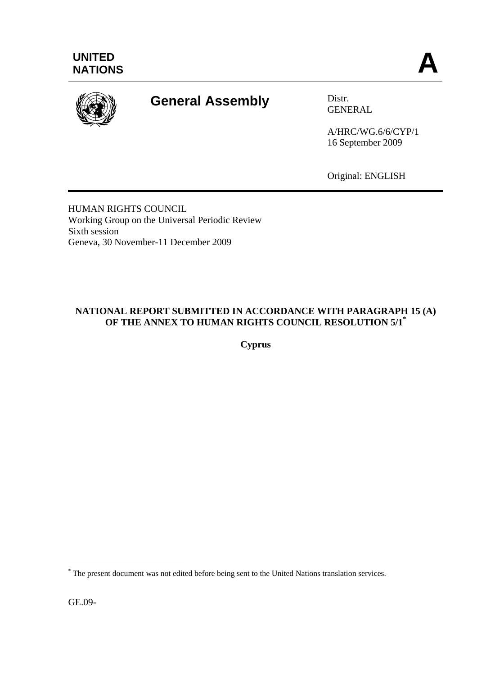

# **General Assembly** Distr.

GENERAL

A/HRC/WG.6/6/CYP/1 16 September 2009

Original: ENGLISH

HUMAN RIGHTS COUNCIL Working Group on the Universal Periodic Review Sixth session Geneva, 30 November-11 December 2009

# **NATIONAL REPORT SUBMITTED IN ACCORDANCE WITH PARAGRAPH 15 (A) OF THE ANNEX TO HUMAN RIGHTS COUNCIL RESOLUTION 5/1\***

**Cyprus** 

GE.09-

 $\overline{a}$ 

<sup>\*</sup> The present document was not edited before being sent to the United Nations translation services.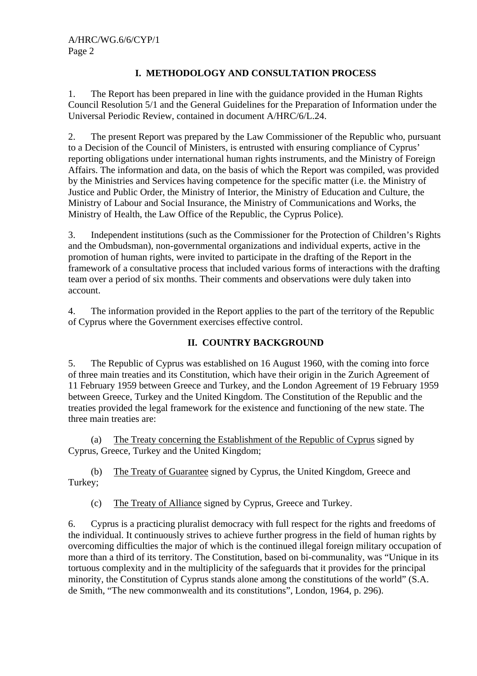# **I. METHODOLOGY AND CONSULTATION PROCESS**

1. The Report has been prepared in line with the guidance provided in the Human Rights Council Resolution 5/1 and the General Guidelines for the Preparation of Information under the Universal Periodic Review, contained in document A/HRC/6/L.24.

2. The present Report was prepared by the Law Commissioner of the Republic who, pursuant to a Decision of the Council of Ministers, is entrusted with ensuring compliance of Cyprus' reporting obligations under international human rights instruments, and the Ministry of Foreign Affairs. The information and data, on the basis of which the Report was compiled, was provided by the Ministries and Services having competence for the specific matter (i.e. the Ministry of Justice and Public Order, the Ministry of Interior, the Ministry of Education and Culture, the Ministry of Labour and Social Insurance, the Ministry of Communications and Works, the Ministry of Health, the Law Office of the Republic, the Cyprus Police).

3. Independent institutions (such as the Commissioner for the Protection of Children's Rights and the Ombudsman), non-governmental organizations and individual experts, active in the promotion of human rights, were invited to participate in the drafting of the Report in the framework of a consultative process that included various forms of interactions with the drafting team over a period of six months. Their comments and observations were duly taken into account.

4. The information provided in the Report applies to the part of the territory of the Republic of Cyprus where the Government exercises effective control.

# **II. COUNTRY BACKGROUND**

5. The Republic of Cyprus was established on 16 August 1960, with the coming into force of three main treaties and its Constitution, which have their origin in the Zurich Agreement of 11 February 1959 between Greece and Turkey, and the London Agreement of 19 February 1959 between Greece, Turkey and the United Kingdom. The Constitution of the Republic and the treaties provided the legal framework for the existence and functioning of the new state. The three main treaties are:

(a) The Treaty concerning the Establishment of the Republic of Cyprus signed by Cyprus, Greece, Turkey and the United Kingdom;

(b) The Treaty of Guarantee signed by Cyprus, the United Kingdom, Greece and Turkey;

(c) The Treaty of Alliance signed by Cyprus, Greece and Turkey.

6. Cyprus is a practicing pluralist democracy with full respect for the rights and freedoms of the individual. It continuously strives to achieve further progress in the field of human rights by overcoming difficulties the major of which is the continued illegal foreign military occupation of more than a third of its territory. The Constitution, based on bi-communality, was "Unique in its tortuous complexity and in the multiplicity of the safeguards that it provides for the principal minority, the Constitution of Cyprus stands alone among the constitutions of the world" (S.A. de Smith, "The new commonwealth and its constitutions", London, 1964, p. 296).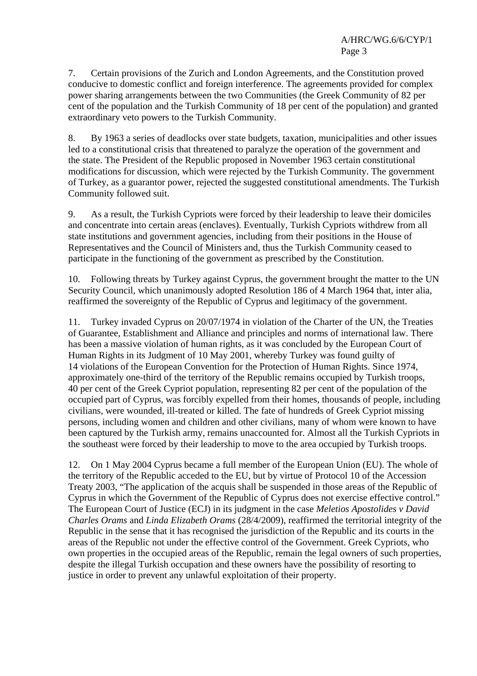7. Certain provisions of the Zurich and London Agreements, and the Constitution proved conducive to domestic conflict and foreign interference. The agreements provided for complex power sharing arrangements between the two Communities (the Greek Community of 82 per cent of the population and the Turkish Community of 18 per cent of the population) and granted extraordinary veto powers to the Turkish Community.

8. By 1963 a series of deadlocks over state budgets, taxation, municipalities and other issues led to a constitutional crisis that threatened to paralyze the operation of the government and the state. The President of the Republic proposed in November 1963 certain constitutional modifications for discussion, which were rejected by the Turkish Community. The government of Turkey, as a guarantor power, rejected the suggested constitutional amendments. The Turkish Community followed suit.

9. As a result, the Turkish Cypriots were forced by their leadership to leave their domiciles and concentrate into certain areas (enclaves). Eventually, Turkish Cypriots withdrew from all state institutions and government agencies, including from their positions in the House of Representatives and the Council of Ministers and, thus the Turkish Community ceased to participate in the functioning of the government as prescribed by the Constitution.

10. Following threats by Turkey against Cyprus, the government brought the matter to the UN Security Council, which unanimously adopted Resolution 186 of 4 March 1964 that, inter alia, reaffirmed the sovereignty of the Republic of Cyprus and legitimacy of the government.

11. Turkey invaded Cyprus on 20/07/1974 in violation of the Charter of the UN, the Treaties of Guarantee, Establishment and Alliance and principles and norms of international law. There has been a massive violation of human rights, as it was concluded by the European Court of Human Rights in its Judgment of 10 May 2001, whereby Turkey was found guilty of 14 violations of the European Convention for the Protection of Human Rights. Since 1974, approximately one-third of the territory of the Republic remains occupied by Turkish troops, 40 per cent of the Greek Cypriot population, representing 82 per cent of the population of the occupied part of Cyprus, was forcibly expelled from their homes, thousands of people, including civilians, were wounded, ill-treated or killed. The fate of hundreds of Greek Cypriot missing persons, including women and children and other civilians, many of whom were known to have been captured by the Turkish army, remains unaccounted for. Almost all the Turkish Cypriots in the southeast were forced by their leadership to move to the area occupied by Turkish troops.

12. On 1 May 2004 Cyprus became a full member of the European Union (EU). The whole of the territory of the Republic acceded to the EU, but by virtue of Protocol 10 of the Accession Treaty 2003, "The application of the acquis shall be suspended in those areas of the Republic of Cyprus in which the Government of the Republic of Cyprus does not exercise effective control." The European Court of Justice (ECJ) in its judgment in the case *Meletios Apostolides v David Charles Orams* and *Linda Elizabeth Orams* (28/4/2009), reaffirmed the territorial integrity of the Republic in the sense that it has recognised the jurisdiction of the Republic and its courts in the areas of the Republic not under the effective control of the Government. Greek Cypriots, who own properties in the occupied areas of the Republic, remain the legal owners of such properties, despite the illegal Turkish occupation and these owners have the possibility of resorting to justice in order to prevent any unlawful exploitation of their property.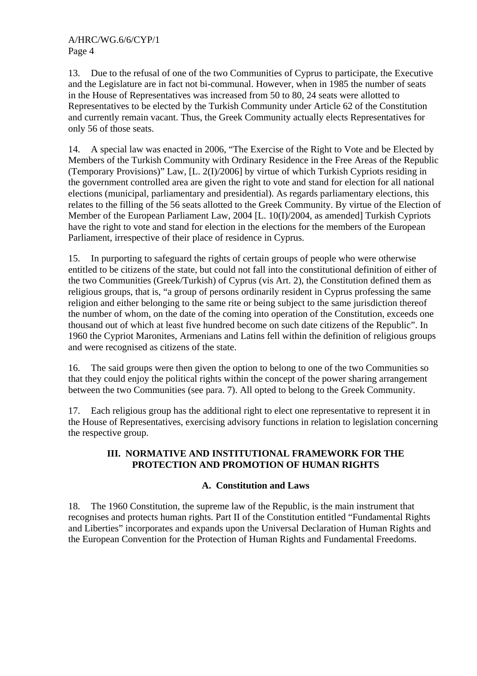13. Due to the refusal of one of the two Communities of Cyprus to participate, the Executive and the Legislature are in fact not bi-communal. However, when in 1985 the number of seats in the House of Representatives was increased from 50 to 80, 24 seats were allotted to Representatives to be elected by the Turkish Community under Article 62 of the Constitution and currently remain vacant. Thus, the Greek Community actually elects Representatives for only 56 of those seats.

14. A special law was enacted in 2006, "The Exercise of the Right to Vote and be Elected by Members of the Turkish Community with Ordinary Residence in the Free Areas of the Republic (Temporary Provisions)" Law, [L. 2(I)/2006] by virtue of which Turkish Cypriots residing in the government controlled area are given the right to vote and stand for election for all national elections (municipal, parliamentary and presidential). As regards parliamentary elections, this relates to the filling of the 56 seats allotted to the Greek Community. By virtue of the Election of Member of the European Parliament Law, 2004 [L. 10(I)/2004, as amended] Turkish Cypriots have the right to vote and stand for election in the elections for the members of the European Parliament, irrespective of their place of residence in Cyprus.

15. In purporting to safeguard the rights of certain groups of people who were otherwise entitled to be citizens of the state, but could not fall into the constitutional definition of either of the two Communities (Greek/Turkish) of Cyprus (vis Art. 2), the Constitution defined them as religious groups, that is, "a group of persons ordinarily resident in Cyprus professing the same religion and either belonging to the same rite or being subject to the same jurisdiction thereof the number of whom, on the date of the coming into operation of the Constitution, exceeds one thousand out of which at least five hundred become on such date citizens of the Republic". In 1960 the Cypriot Maronites, Armenians and Latins fell within the definition of religious groups and were recognised as citizens of the state.

16. The said groups were then given the option to belong to one of the two Communities so that they could enjoy the political rights within the concept of the power sharing arrangement between the two Communities (see para. 7). All opted to belong to the Greek Community.

17. Each religious group has the additional right to elect one representative to represent it in the House of Representatives, exercising advisory functions in relation to legislation concerning the respective group.

## **III. NORMATIVE AND INSTITUTIONAL FRAMEWORK FOR THE PROTECTION AND PROMOTION OF HUMAN RIGHTS**

# **A. Constitution and Laws**

18. The 1960 Constitution, the supreme law of the Republic, is the main instrument that recognises and protects human rights. Part II of the Constitution entitled "Fundamental Rights and Liberties" incorporates and expands upon the Universal Declaration of Human Rights and the European Convention for the Protection of Human Rights and Fundamental Freedoms.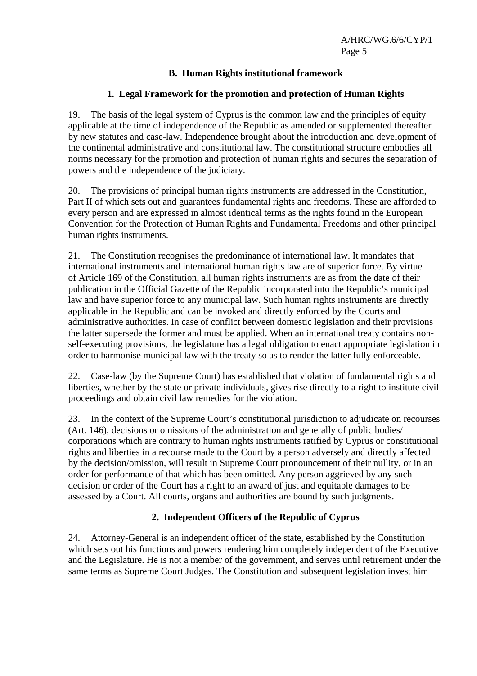## **B. Human Rights institutional framework**

### **1. Legal Framework for the promotion and protection of Human Rights**

19. The basis of the legal system of Cyprus is the common law and the principles of equity applicable at the time of independence of the Republic as amended or supplemented thereafter by new statutes and case-law. Independence brought about the introduction and development of the continental administrative and constitutional law. The constitutional structure embodies all norms necessary for the promotion and protection of human rights and secures the separation of powers and the independence of the judiciary.

20. The provisions of principal human rights instruments are addressed in the Constitution, Part II of which sets out and guarantees fundamental rights and freedoms. These are afforded to every person and are expressed in almost identical terms as the rights found in the European Convention for the Protection of Human Rights and Fundamental Freedoms and other principal human rights instruments.

21. The Constitution recognises the predominance of international law. It mandates that international instruments and international human rights law are of superior force. By virtue of Article 169 of the Constitution, all human rights instruments are as from the date of their publication in the Official Gazette of the Republic incorporated into the Republic's municipal law and have superior force to any municipal law. Such human rights instruments are directly applicable in the Republic and can be invoked and directly enforced by the Courts and administrative authorities. In case of conflict between domestic legislation and their provisions the latter supersede the former and must be applied. When an international treaty contains nonself-executing provisions, the legislature has a legal obligation to enact appropriate legislation in order to harmonise municipal law with the treaty so as to render the latter fully enforceable.

22. Case-law (by the Supreme Court) has established that violation of fundamental rights and liberties, whether by the state or private individuals, gives rise directly to a right to institute civil proceedings and obtain civil law remedies for the violation.

23. In the context of the Supreme Court's constitutional jurisdiction to adjudicate on recourses (Art. 146), decisions or omissions of the administration and generally of public bodies/ corporations which are contrary to human rights instruments ratified by Cyprus or constitutional rights and liberties in a recourse made to the Court by a person adversely and directly affected by the decision/omission, will result in Supreme Court pronouncement of their nullity, or in an order for performance of that which has been omitted. Any person aggrieved by any such decision or order of the Court has a right to an award of just and equitable damages to be assessed by a Court. All courts, organs and authorities are bound by such judgments.

#### **2. Independent Officers of the Republic of Cyprus**

24. Attorney-General is an independent officer of the state, established by the Constitution which sets out his functions and powers rendering him completely independent of the Executive and the Legislature. He is not a member of the government, and serves until retirement under the same terms as Supreme Court Judges. The Constitution and subsequent legislation invest him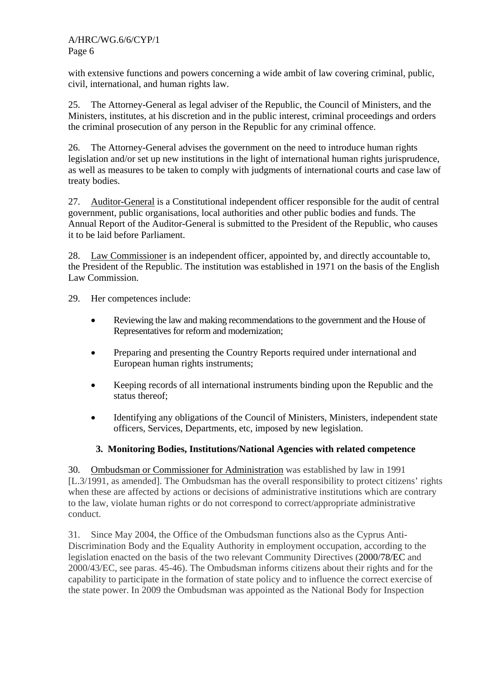with extensive functions and powers concerning a wide ambit of law covering criminal, public, civil, international, and human rights law.

25. The Attorney-General as legal adviser of the Republic, the Council of Ministers, and the Ministers, institutes, at his discretion and in the public interest, criminal proceedings and orders the criminal prosecution of any person in the Republic for any criminal offence.

26. The Attorney-General advises the government on the need to introduce human rights legislation and/or set up new institutions in the light of international human rights jurisprudence, as well as measures to be taken to comply with judgments of international courts and case law of treaty bodies.

27. Auditor-General is a Constitutional independent officer responsible for the audit of central government, public organisations, local authorities and other public bodies and funds. The Annual Report of the Auditor-General is submitted to the President of the Republic, who causes it to be laid before Parliament.

28. Law Commissioner is an independent officer, appointed by, and directly accountable to, the President of the Republic. The institution was established in 1971 on the basis of the English Law Commission.

29. Her competences include:

- Reviewing the law and making recommendations to the government and the House of Representatives for reform and modernization;
- Preparing and presenting the Country Reports required under international and European human rights instruments;
- Keeping records of all international instruments binding upon the Republic and the status thereof;
- Identifying any obligations of the Council of Ministers, Ministers, independent state officers, Services, Departments, etc, imposed by new legislation.

# **3. Monitoring Bodies, Institutions/National Agencies with related competence**

30. Ombudsman or Commissioner for Administration was established by law in 1991 [L.3/1991, as amended]. The Ombudsman has the overall responsibility to protect citizens' rights when these are affected by actions or decisions of administrative institutions which are contrary to the law, violate human rights or do not correspond to correct/appropriate administrative conduct.

31. Since May 2004, the Office of the Ombudsman functions also as the Cyprus Anti-Discrimination Body and the Equality Authority in employment occupation, according to the legislation enacted on the basis of the two relevant Community Directives (2000/78/EC and 2000/43/EC, see paras. 45-46). The Ombudsman informs citizens about their rights and for the capability to participate in the formation of state policy and to influence the correct exercise of the state power. In 2009 the Ombudsman was appointed as the National Body for Inspection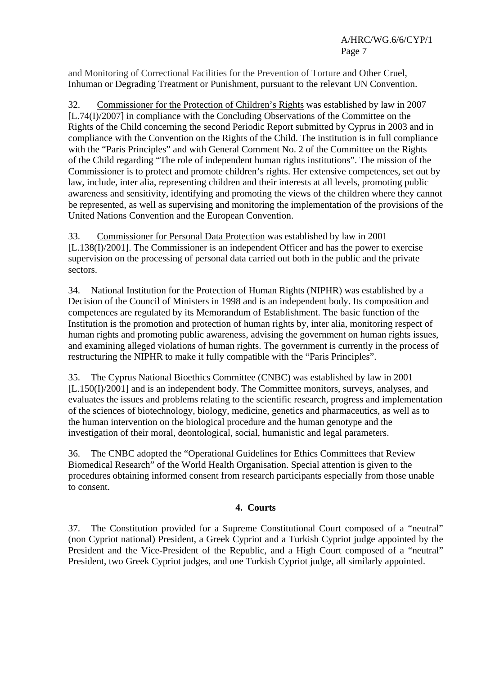and Monitoring of Correctional Facilities for the Prevention of Torture and Other Cruel, Inhuman or Degrading Treatment or Punishment, pursuant to the relevant UN Convention.

32. Commissioner for the Protection of Children's Rights was established by law in 2007 [L.74(I)/2007] in compliance with the Concluding Observations of the Committee on the Rights of the Child concerning the second Periodic Report submitted by Cyprus in 2003 and in compliance with the Convention on the Rights of the Child. The institution is in full compliance with the "Paris Principles" and with General Comment No. 2 of the Committee on the Rights of the Child regarding "The role of independent human rights institutions". The mission of the Commissioner is to protect and promote children's rights. Her extensive competences, set out by law, include, inter alia, representing children and their interests at all levels, promoting public awareness and sensitivity, identifying and promoting the views of the children where they cannot be represented, as well as supervising and monitoring the implementation of the provisions of the United Nations Convention and the European Convention.

33. Commissioner for Personal Data Protection was established by law in 2001 [L.138(I)/2001]. The Commissioner is an independent Officer and has the power to exercise supervision on the processing of personal data carried out both in the public and the private sectors.

34. National Institution for the Protection of Human Rights (NIPHR) was established by a Decision of the Council of Ministers in 1998 and is an independent body. Its composition and competences are regulated by its Memorandum of Establishment. The basic function of the Institution is the promotion and protection of human rights by, inter alia, monitoring respect of human rights and promoting public awareness, advising the government on human rights issues, and examining alleged violations of human rights. The government is currently in the process of restructuring the NIPHR to make it fully compatible with the "Paris Principles".

35. The Cyprus National Bioethics Committee (CNBC) was established by law in 2001 [L.150(I)/2001] and is an independent body. The Committee monitors, surveys, analyses, and evaluates the issues and problems relating to the scientific research, progress and implementation of the sciences of biotechnology, biology, medicine, genetics and pharmaceutics, as well as to the human intervention on the biological procedure and the human genotype and the investigation of their moral, deontological, social, humanistic and legal parameters.

36. The CNBC adopted the "Operational Guidelines for Ethics Committees that Review Biomedical Research" of the World Health Organisation. Special attention is given to the procedures obtaining informed consent from research participants especially from those unable to consent.

# **4. Courts**

37. The Constitution provided for a Supreme Constitutional Court composed of a "neutral" (non Cypriot national) President, a Greek Cypriot and a Turkish Cypriot judge appointed by the President and the Vice-President of the Republic, and a High Court composed of a "neutral" President, two Greek Cypriot judges, and one Turkish Cypriot judge, all similarly appointed.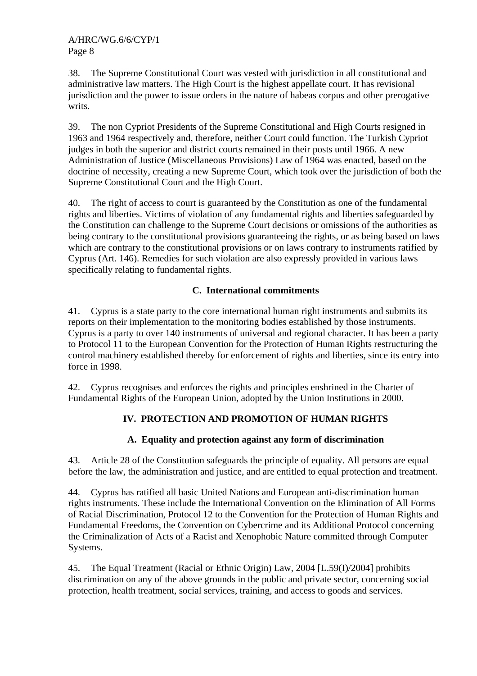38. The Supreme Constitutional Court was vested with jurisdiction in all constitutional and administrative law matters. The High Court is the highest appellate court. It has revisional jurisdiction and the power to issue orders in the nature of habeas corpus and other prerogative writs.

39. The non Cypriot Presidents of the Supreme Constitutional and High Courts resigned in 1963 and 1964 respectively and, therefore, neither Court could function. The Turkish Cypriot judges in both the superior and district courts remained in their posts until 1966. A new Administration of Justice (Miscellaneous Provisions) Law of 1964 was enacted, based on the doctrine of necessity, creating a new Supreme Court, which took over the jurisdiction of both the Supreme Constitutional Court and the High Court.

40. The right of access to court is guaranteed by the Constitution as one of the fundamental rights and liberties. Victims of violation of any fundamental rights and liberties safeguarded by the Constitution can challenge to the Supreme Court decisions or omissions of the authorities as being contrary to the constitutional provisions guaranteeing the rights, or as being based on laws which are contrary to the constitutional provisions or on laws contrary to instruments ratified by Cyprus (Art. 146). Remedies for such violation are also expressly provided in various laws specifically relating to fundamental rights.

# **C. International commitments**

41. Cyprus is a state party to the core international human right instruments and submits its reports on their implementation to the monitoring bodies established by those instruments. Cyprus is a party to over 140 instruments of universal and regional character. It has been a party to Protocol 11 to the European Convention for the Protection of Human Rights restructuring the control machinery established thereby for enforcement of rights and liberties, since its entry into force in 1998.

42. Cyprus recognises and enforces the rights and principles enshrined in the Charter of Fundamental Rights of the European Union, adopted by the Union Institutions in 2000.

# **IV. PROTECTION AND PROMOTION OF HUMAN RIGHTS**

#### **A. Equality and protection against any form of discrimination**

43. Article 28 of the Constitution safeguards the principle of equality. All persons are equal before the law, the administration and justice, and are entitled to equal protection and treatment.

44. Cyprus has ratified all basic United Nations and European anti-discrimination human rights instruments. These include the International Convention on the Elimination of All Forms of Racial Discrimination, Protocol 12 to the Convention for the Protection of Human Rights and Fundamental Freedoms, the Convention on Cybercrime and its Additional Protocol concerning the Criminalization of Acts of a Racist and Xenophobic Nature committed through Computer Systems.

45. The Equal Treatment (Racial or Ethnic Origin) Law, 2004 [L.59(I)/2004] prohibits discrimination on any of the above grounds in the public and private sector, concerning social protection, health treatment, social services, training, and access to goods and services.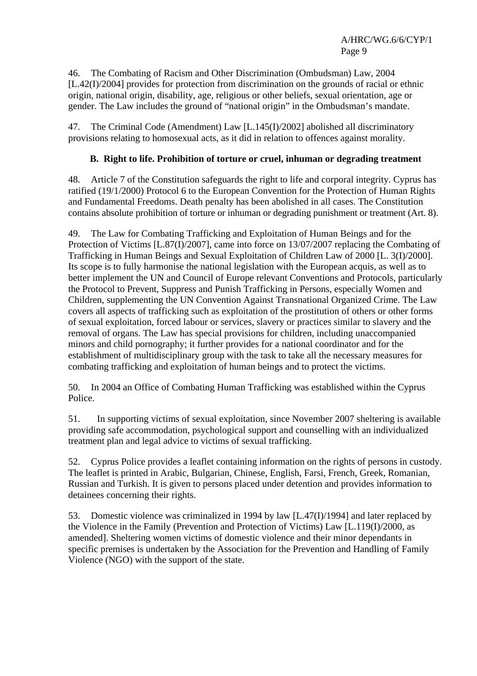46. The Combating of Racism and Other Discrimination (Ombudsman) Law, 2004 [L.42(I)/2004] provides for protection from discrimination on the grounds of racial or ethnic origin, national origin, disability, age, religious or other beliefs, sexual orientation, age or gender. The Law includes the ground of "national origin" in the Ombudsman's mandate.

47. The Criminal Code (Amendment) Law [L.145(I)/2002] abolished all discriminatory provisions relating to homosexual acts, as it did in relation to offences against morality.

## **B. Right to life. Prohibition of torture or cruel, inhuman or degrading treatment**

48. Article 7 of the Constitution safeguards the right to life and corporal integrity. Cyprus has ratified (19/1/2000) Protocol 6 to the European Convention for the Protection of Human Rights and Fundamental Freedoms. Death penalty has been abolished in all cases. The Constitution contains absolute prohibition of torture or inhuman or degrading punishment or treatment (Art. 8).

49. The Law for Combating Trafficking and Exploitation of Human Beings and for the Protection of Victims [L.87(I)/2007], came into force on 13/07/2007 replacing the Combating of Trafficking in Human Beings and Sexual Exploitation of Children Law of 2000 [L. 3(I)/2000]. Its scope is to fully harmonise the national legislation with the European acquis, as well as to better implement the UN and Council of Europe relevant Conventions and Protocols, particularly the Protocol to Prevent, Suppress and Punish Trafficking in Persons, especially Women and Children, supplementing the UN Convention Against Transnational Organized Crime. The Law covers all aspects of trafficking such as exploitation of the prostitution of others or other forms of sexual exploitation, forced labour or services, slavery or practices similar to slavery and the removal of organs. The Law has special provisions for children, including unaccompanied minors and child pornography; it further provides for a national coordinator and for the establishment of multidisciplinary group with the task to take all the necessary measures for combating trafficking and exploitation of human beings and to protect the victims.

50. In 2004 an Office of Combating Human Trafficking was established within the Cyprus Police.

51. In supporting victims of sexual exploitation, since November 2007 sheltering is available providing safe accommodation, psychological support and counselling with an individualized treatment plan and legal advice to victims of sexual trafficking.

52. Cyprus Police provides a leaflet containing information on the rights of persons in custody. The leaflet is printed in Arabic, Bulgarian, Chinese, English, Farsi, French, Greek, Romanian, Russian and Turkish. It is given to persons placed under detention and provides information to detainees concerning their rights.

53. Domestic violence was criminalized in 1994 by law [L.47(I)/1994] and later replaced by the Violence in the Family (Prevention and Protection of Victims) Law [L.119(I)/2000, as amended]. Sheltering women victims of domestic violence and their minor dependants in specific premises is undertaken by the Association for the Prevention and Handling of Family Violence (NGO) with the support of the state.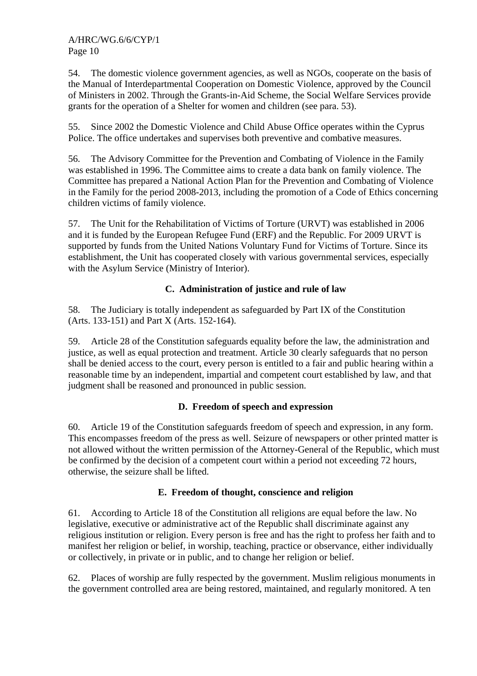54. The domestic violence government agencies, as well as NGOs, cooperate on the basis of the Manual of Interdepartmental Cooperation on Domestic Violence, approved by the Council of Ministers in 2002. Through the Grants-in-Aid Scheme, the Social Welfare Services provide grants for the operation of a Shelter for women and children (see para. 53).

55. Since 2002 the Domestic Violence and Child Abuse Office operates within the Cyprus Police. The office undertakes and supervises both preventive and combative measures.

56. The Advisory Committee for the Prevention and Combating of Violence in the Family was established in 1996. The Committee aims to create a data bank on family violence. The Committee has prepared a National Action Plan for the Prevention and Combating of Violence in the Family for the period 2008-2013, including the promotion of a Code of Ethics concerning children victims of family violence.

57. The Unit for the Rehabilitation of Victims of Torture (URVT) was established in 2006 and it is funded by the European Refugee Fund (ERF) and the Republic. For 2009 URVT is supported by funds from the United Nations Voluntary Fund for Victims of Torture. Since its establishment, the Unit has cooperated closely with various governmental services, especially with the Asylum Service (Ministry of Interior).

# **C. Administration of justice and rule of law**

58. The Judiciary is totally independent as safeguarded by Part IX of the Constitution (Arts. 133-151) and Part X (Arts. 152-164).

59. Article 28 of the Constitution safeguards equality before the law, the administration and justice, as well as equal protection and treatment. Article 30 clearly safeguards that no person shall be denied access to the court, every person is entitled to a fair and public hearing within a reasonable time by an independent, impartial and competent court established by law, and that judgment shall be reasoned and pronounced in public session.

# **D. Freedom of speech and expression**

60. Article 19 of the Constitution safeguards freedom of speech and expression, in any form. This encompasses freedom of the press as well. Seizure of newspapers or other printed matter is not allowed without the written permission of the Attorney-General of the Republic, which must be confirmed by the decision of a competent court within a period not exceeding 72 hours, otherwise, the seizure shall be lifted.

# **E. Freedom of thought, conscience and religion**

61. According to Article 18 of the Constitution all religions are equal before the law. No legislative, executive or administrative act of the Republic shall discriminate against any religious institution or religion. Every person is free and has the right to profess her faith and to manifest her religion or belief, in worship, teaching, practice or observance, either individually or collectively, in private or in public, and to change her religion or belief.

62. Places of worship are fully respected by the government. Muslim religious monuments in the government controlled area are being restored, maintained, and regularly monitored. A ten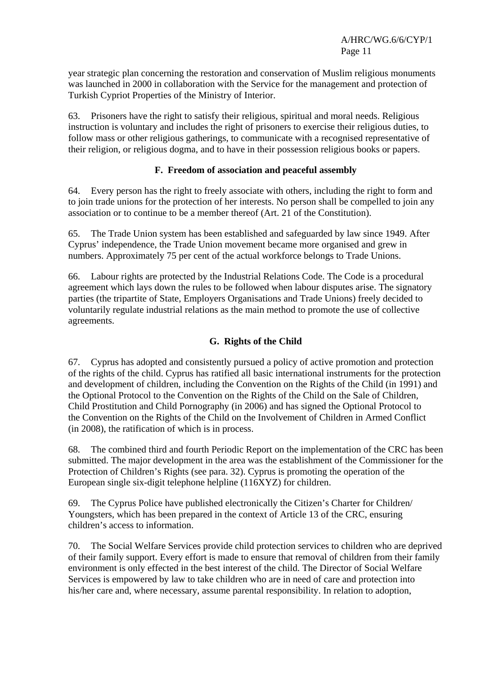year strategic plan concerning the restoration and conservation of Muslim religious monuments was launched in 2000 in collaboration with the Service for the management and protection of Turkish Cypriot Properties of the Ministry of Interior.

63. Prisoners have the right to satisfy their religious, spiritual and moral needs. Religious instruction is voluntary and includes the right of prisoners to exercise their religious duties, to follow mass or other religious gatherings, to communicate with a recognised representative of their religion, or religious dogma, and to have in their possession religious books or papers.

#### **F. Freedom of association and peaceful assembly**

64. Every person has the right to freely associate with others, including the right to form and to join trade unions for the protection of her interests. No person shall be compelled to join any association or to continue to be a member thereof (Art. 21 of the Constitution).

65. The Trade Union system has been established and safeguarded by law since 1949. After Cyprus' independence, the Trade Union movement became more organised and grew in numbers. Approximately 75 per cent of the actual workforce belongs to Trade Unions.

66. Labour rights are protected by the Industrial Relations Code. The Code is a procedural agreement which lays down the rules to be followed when labour disputes arise. The signatory parties (the tripartite of State, Employers Organisations and Trade Unions) freely decided to voluntarily regulate industrial relations as the main method to promote the use of collective agreements.

# **G. Rights of the Child**

67. Cyprus has adopted and consistently pursued a policy of active promotion and protection of the rights of the child. Cyprus has ratified all basic international instruments for the protection and development of children, including the Convention on the Rights of the Child (in 1991) and the Optional Protocol to the Convention on the Rights of the Child on the Sale of Children, Child Prostitution and Child Pornography (in 2006) and has signed the Optional Protocol to the Convention on the Rights of the Child on the Involvement of Children in Armed Conflict (in 2008), the ratification of which is in process.

68. The combined third and fourth Periodic Report on the implementation of the CRC has been submitted. The major development in the area was the establishment of the Commissioner for the Protection of Children's Rights (see para. 32). Cyprus is promoting the operation of the European single six-digit telephone helpline (116XYZ) for children.

69. The Cyprus Police have published electronically the Citizen's Charter for Children/ Youngsters, which has been prepared in the context of Article 13 of the CRC, ensuring children's access to information.

70. The Social Welfare Services provide child protection services to children who are deprived of their family support. Every effort is made to ensure that removal of children from their family environment is only effected in the best interest of the child. The Director of Social Welfare Services is empowered by law to take children who are in need of care and protection into his/her care and, where necessary, assume parental responsibility. In relation to adoption,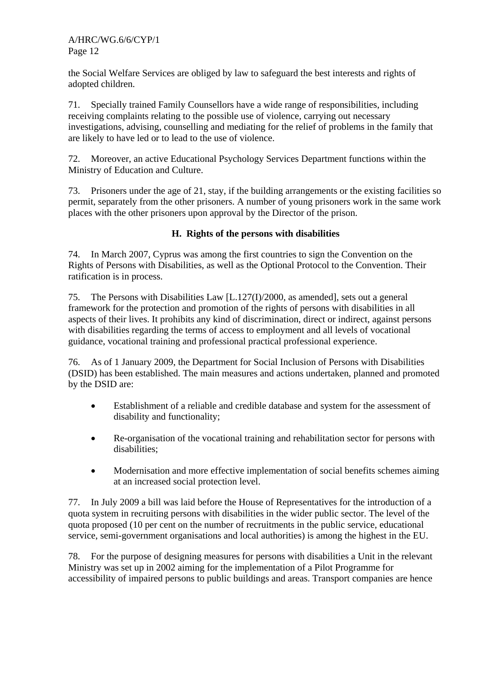the Social Welfare Services are obliged by law to safeguard the best interests and rights of adopted children.

71. Specially trained Family Counsellors have a wide range of responsibilities, including receiving complaints relating to the possible use of violence, carrying out necessary investigations, advising, counselling and mediating for the relief of problems in the family that are likely to have led or to lead to the use of violence.

72. Moreover, an active Educational Psychology Services Department functions within the Ministry of Education and Culture.

73. Prisoners under the age of 21, stay, if the building arrangements or the existing facilities so permit, separately from the other prisoners. A number of young prisoners work in the same work places with the other prisoners upon approval by the Director of the prison.

# **H. Rights of the persons with disabilities**

74. In March 2007, Cyprus was among the first countries to sign the Convention on the Rights of Persons with Disabilities, as well as the Optional Protocol to the Convention. Their ratification is in process.

75. The Persons with Disabilities Law [L.127(I)/2000, as amended], sets out a general framework for the protection and promotion of the rights of persons with disabilities in all aspects of their lives. It prohibits any kind of discrimination, direct or indirect, against persons with disabilities regarding the terms of access to employment and all levels of vocational guidance, vocational training and professional practical professional experience.

76. As of 1 January 2009, the Department for Social Inclusion of Persons with Disabilities (DSID) has been established. The main measures and actions undertaken, planned and promoted by the DSID are:

- Establishment of a reliable and credible database and system for the assessment of disability and functionality;
- Re-organisation of the vocational training and rehabilitation sector for persons with disabilities;
- Modernisation and more effective implementation of social benefits schemes aiming at an increased social protection level.

77. In July 2009 a bill was laid before the House of Representatives for the introduction of a quota system in recruiting persons with disabilities in the wider public sector. The level of the quota proposed (10 per cent on the number of recruitments in the public service, educational service, semi-government organisations and local authorities) is among the highest in the EU.

78. For the purpose of designing measures for persons with disabilities a Unit in the relevant Ministry was set up in 2002 aiming for the implementation of a Pilot Programme for accessibility of impaired persons to public buildings and areas. Transport companies are hence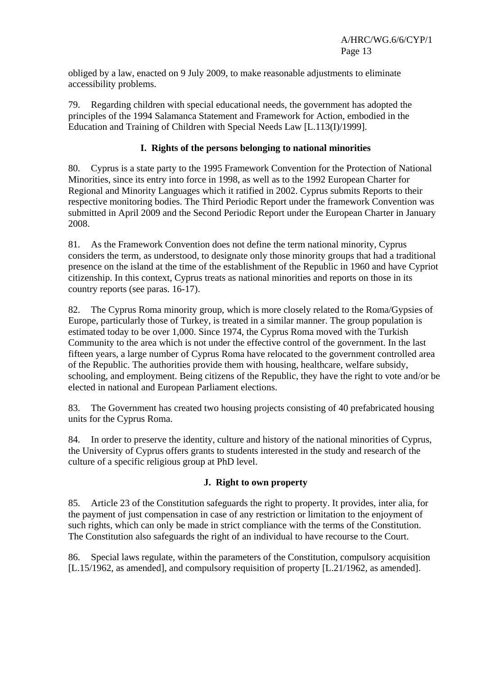obliged by a law, enacted on 9 July 2009, to make reasonable adjustments to eliminate accessibility problems.

79. Regarding children with special educational needs, the government has adopted the principles of the 1994 Salamanca Statement and Framework for Action, embodied in the Education and Training of Children with Special Needs Law [L.113(I)/1999].

## **I. Rights of the persons belonging to national minorities**

80. Cyprus is a state party to the 1995 Framework Convention for the Protection of National Minorities, since its entry into force in 1998, as well as to the 1992 European Charter for Regional and Minority Languages which it ratified in 2002. Cyprus submits Reports to their respective monitoring bodies. The Third Periodic Report under the framework Convention was submitted in April 2009 and the Second Periodic Report under the European Charter in January 2008.

81. As the Framework Convention does not define the term national minority, Cyprus considers the term, as understood, to designate only those minority groups that had a traditional presence on the island at the time of the establishment of the Republic in 1960 and have Cypriot citizenship. In this context, Cyprus treats as national minorities and reports on those in its country reports (see paras. 16-17).

82. The Cyprus Roma minority group, which is more closely related to the Roma/Gypsies of Europe, particularly those of Turkey, is treated in a similar manner. The group population is estimated today to be over 1,000. Since 1974, the Cyprus Roma moved with the Turkish Community to the area which is not under the effective control of the government. In the last fifteen years, a large number of Cyprus Roma have relocated to the government controlled area of the Republic. The authorities provide them with housing, healthcare, welfare subsidy, schooling, and employment. Being citizens of the Republic, they have the right to vote and/or be elected in national and European Parliament elections.

83. The Government has created two housing projects consisting of 40 prefabricated housing units for the Cyprus Roma.

84. In order to preserve the identity, culture and history of the national minorities of Cyprus, the University of Cyprus offers grants to students interested in the study and research of the culture of a specific religious group at PhD level.

#### **J. Right to own property**

85. Article 23 of the Constitution safeguards the right to property. It provides, inter alia, for the payment of just compensation in case of any restriction or limitation to the enjoyment of such rights, which can only be made in strict compliance with the terms of the Constitution. The Constitution also safeguards the right of an individual to have recourse to the Court.

86. Special laws regulate, within the parameters of the Constitution, compulsory acquisition [L.15/1962, as amended], and compulsory requisition of property [L.21/1962, as amended].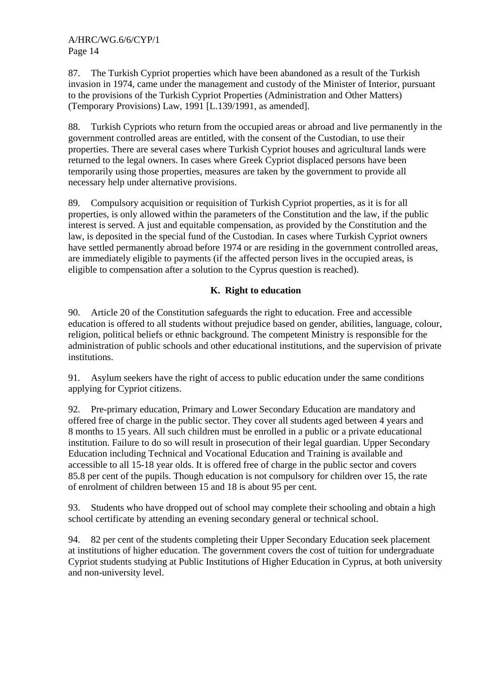87. The Turkish Cypriot properties which have been abandoned as a result of the Turkish invasion in 1974, came under the management and custody of the Minister of Interior, pursuant to the provisions of the Turkish Cypriot Properties (Administration and Other Matters) (Temporary Provisions) Law, 1991 [L.139/1991, as amended].

88. Turkish Cypriots who return from the occupied areas or abroad and live permanently in the government controlled areas are entitled, with the consent of the Custodian, to use their properties. There are several cases where Turkish Cypriot houses and agricultural lands were returned to the legal owners. In cases where Greek Cypriot displaced persons have been temporarily using those properties, measures are taken by the government to provide all necessary help under alternative provisions.

89. Compulsory acquisition or requisition of Turkish Cypriot properties, as it is for all properties, is only allowed within the parameters of the Constitution and the law, if the public interest is served. A just and equitable compensation, as provided by the Constitution and the law, is deposited in the special fund of the Custodian. In cases where Turkish Cypriot owners have settled permanently abroad before 1974 or are residing in the government controlled areas, are immediately eligible to payments (if the affected person lives in the occupied areas, is eligible to compensation after a solution to the Cyprus question is reached).

# **K. Right to education**

90. Article 20 of the Constitution safeguards the right to education. Free and accessible education is offered to all students without prejudice based on gender, abilities, language, colour, religion, political beliefs or ethnic background. The competent Ministry is responsible for the administration of public schools and other educational institutions, and the supervision of private institutions.

91. Asylum seekers have the right of access to public education under the same conditions applying for Cypriot citizens.

92. Pre-primary education, Primary and Lower Secondary Education are mandatory and offered free of charge in the public sector. They cover all students aged between 4 years and 8 months to 15 years. All such children must be enrolled in a public or a private educational institution. Failure to do so will result in prosecution of their legal guardian. Upper Secondary Education including Technical and Vocational Education and Training is available and accessible to all 15-18 year olds. It is offered free of charge in the public sector and covers 85.8 per cent of the pupils. Though education is not compulsory for children over 15, the rate of enrolment of children between 15 and 18 is about 95 per cent.

93. Students who have dropped out of school may complete their schooling and obtain a high school certificate by attending an evening secondary general or technical school.

94. 82 per cent of the students completing their Upper Secondary Education seek placement at institutions of higher education. The government covers the cost of tuition for undergraduate Cypriot students studying at Public Institutions of Higher Education in Cyprus, at both university and non-university level.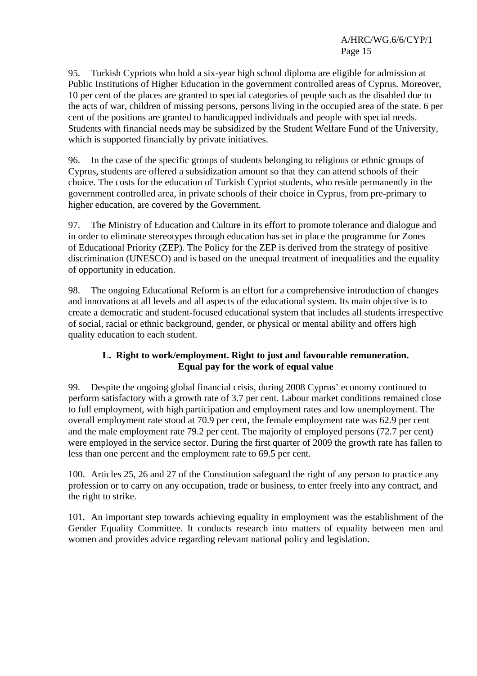95. Turkish Cypriots who hold a six-year high school diploma are eligible for admission at Public Institutions of Higher Education in the government controlled areas of Cyprus. Moreover, 10 per cent of the places are granted to special categories of people such as the disabled due to the acts of war, children of missing persons, persons living in the occupied area of the state. 6 per cent of the positions are granted to handicapped individuals and people with special needs. Students with financial needs may be subsidized by the Student Welfare Fund of the University, which is supported financially by private initiatives.

96. In the case of the specific groups of students belonging to religious or ethnic groups of Cyprus, students are offered a subsidization amount so that they can attend schools of their choice. The costs for the education of Turkish Cypriot students, who reside permanently in the government controlled area, in private schools of their choice in Cyprus, from pre-primary to higher education, are covered by the Government.

97. The Ministry of Education and Culture in its effort to promote tolerance and dialogue and in order to eliminate stereotypes through education has set in place the programme for Zones of Educational Priority (ZEP). The Policy for the ZEP is derived from the strategy of positive discrimination (UNESCO) and is based on the unequal treatment of inequalities and the equality of opportunity in education.

98. The ongoing Educational Reform is an effort for a comprehensive introduction of changes and innovations at all levels and all aspects of the educational system. Its main objective is to create a democratic and student-focused educational system that includes all students irrespective of social, racial or ethnic background, gender, or physical or mental ability and offers high quality education to each student.

## **L. Right to work/employment. Right to just and favourable remuneration. Equal pay for the work of equal value**

99. Despite the ongoing global financial crisis, during 2008 Cyprus' economy continued to perform satisfactory with a growth rate of 3.7 per cent. Labour market conditions remained close to full employment, with high participation and employment rates and low unemployment. The overall employment rate stood at 70.9 per cent, the female employment rate was 62.9 per cent and the male employment rate 79.2 per cent. The majority of employed persons (72.7 per cent) were employed in the service sector. During the first quarter of 2009 the growth rate has fallen to less than one percent and the employment rate to 69.5 per cent.

100. Articles 25, 26 and 27 of the Constitution safeguard the right of any person to practice any profession or to carry on any occupation, trade or business, to enter freely into any contract, and the right to strike.

101. An important step towards achieving equality in employment was the establishment of the Gender Equality Committee. It conducts research into matters of equality between men and women and provides advice regarding relevant national policy and legislation.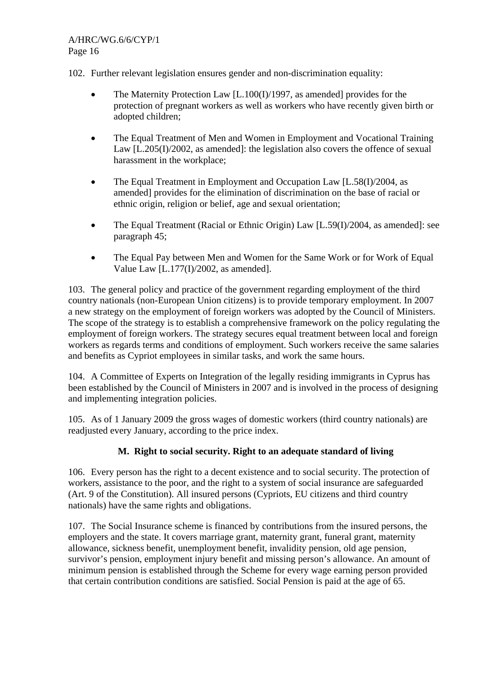102. Further relevant legislation ensures gender and non-discrimination equality:

- The Maternity Protection Law [L.100(I)/1997, as amended] provides for the protection of pregnant workers as well as workers who have recently given birth or adopted children;
- The Equal Treatment of Men and Women in Employment and Vocational Training Law [L.205(I)/2002, as amended]: the legislation also covers the offence of sexual harassment in the workplace;
- The Equal Treatment in Employment and Occupation Law [L.58(I)/2004, as amended] provides for the elimination of discrimination on the base of racial or ethnic origin, religion or belief, age and sexual orientation;
- The Equal Treatment (Racial or Ethnic Origin) Law [L.59(I)/2004, as amended]: see paragraph 45;
- The Equal Pay between Men and Women for the Same Work or for Work of Equal Value Law [L.177(I)/2002, as amended].

103. The general policy and practice of the government regarding employment of the third country nationals (non-European Union citizens) is to provide temporary employment. In 2007 a new strategy on the employment of foreign workers was adopted by the Council of Ministers. The scope of the strategy is to establish a comprehensive framework on the policy regulating the employment of foreign workers. The strategy secures equal treatment between local and foreign workers as regards terms and conditions of employment. Such workers receive the same salaries and benefits as Cypriot employees in similar tasks, and work the same hours.

104. A Committee of Experts on Integration of the legally residing immigrants in Cyprus has been established by the Council of Ministers in 2007 and is involved in the process of designing and implementing integration policies.

105. As of 1 January 2009 the gross wages of domestic workers (third country nationals) are readjusted every January, according to the price index.

#### **M. Right to social security. Right to an adequate standard of living**

106. Every person has the right to a decent existence and to social security. The protection of workers, assistance to the poor, and the right to a system of social insurance are safeguarded (Art. 9 of the Constitution). All insured persons (Cypriots, EU citizens and third country nationals) have the same rights and obligations.

107. The Social Insurance scheme is financed by contributions from the insured persons, the employers and the state. It covers marriage grant, maternity grant, funeral grant, maternity allowance, sickness benefit, unemployment benefit, invalidity pension, old age pension, survivor's pension, employment injury benefit and missing person's allowance. An amount of minimum pension is established through the Scheme for every wage earning person provided that certain contribution conditions are satisfied. Social Pension is paid at the age of 65.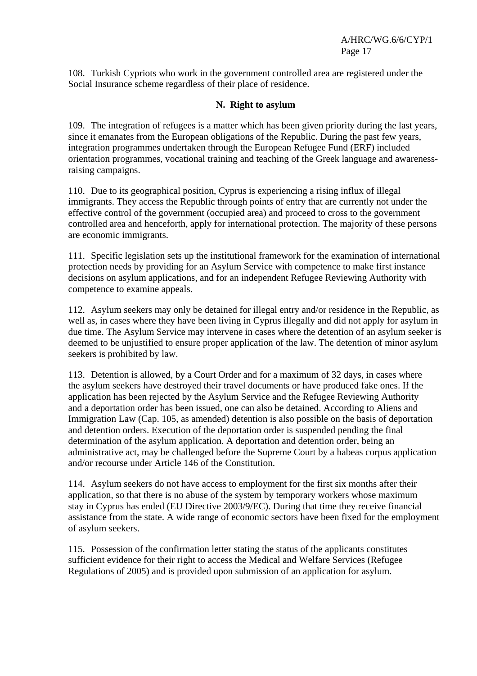108. Turkish Cypriots who work in the government controlled area are registered under the Social Insurance scheme regardless of their place of residence.

#### **N. Right to asylum**

109. The integration of refugees is a matter which has been given priority during the last years, since it emanates from the European obligations of the Republic. During the past few years, integration programmes undertaken through the European Refugee Fund (ERF) included orientation programmes, vocational training and teaching of the Greek language and awarenessraising campaigns.

110. Due to its geographical position, Cyprus is experiencing a rising influx of illegal immigrants. They access the Republic through points of entry that are currently not under the effective control of the government (occupied area) and proceed to cross to the government controlled area and henceforth, apply for international protection. The majority of these persons are economic immigrants.

111. Specific legislation sets up the institutional framework for the examination of international protection needs by providing for an Asylum Service with competence to make first instance decisions on asylum applications, and for an independent Refugee Reviewing Authority with competence to examine appeals.

112. Asylum seekers may only be detained for illegal entry and/or residence in the Republic, as well as, in cases where they have been living in Cyprus illegally and did not apply for asylum in due time. The Asylum Service may intervene in cases where the detention of an asylum seeker is deemed to be unjustified to ensure proper application of the law. The detention of minor asylum seekers is prohibited by law.

113. Detention is allowed, by a Court Order and for a maximum of 32 days, in cases where the asylum seekers have destroyed their travel documents or have produced fake ones. If the application has been rejected by the Asylum Service and the Refugee Reviewing Authority and a deportation order has been issued, one can also be detained. According to Aliens and Immigration Law (Cap. 105, as amended) detention is also possible on the basis of deportation and detention orders. Execution of the deportation order is suspended pending the final determination of the asylum application. A deportation and detention order, being an administrative act, may be challenged before the Supreme Court by a habeas corpus application and/or recourse under Article 146 of the Constitution.

114. Asylum seekers do not have access to employment for the first six months after their application, so that there is no abuse of the system by temporary workers whose maximum stay in Cyprus has ended (EU Directive 2003/9/EC). During that time they receive financial assistance from the state. A wide range of economic sectors have been fixed for the employment of asylum seekers.

115. Possession of the confirmation letter stating the status of the applicants constitutes sufficient evidence for their right to access the Medical and Welfare Services (Refugee Regulations of 2005) and is provided upon submission of an application for asylum.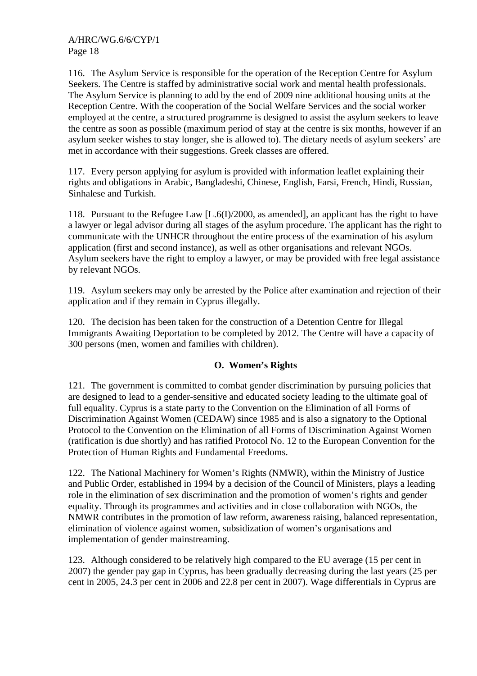116. The Asylum Service is responsible for the operation of the Reception Centre for Asylum Seekers. The Centre is staffed by administrative social work and mental health professionals. The Asylum Service is planning to add by the end of 2009 nine additional housing units at the Reception Centre. With the cooperation of the Social Welfare Services and the social worker employed at the centre, a structured programme is designed to assist the asylum seekers to leave the centre as soon as possible (maximum period of stay at the centre is six months, however if an asylum seeker wishes to stay longer, she is allowed to). The dietary needs of asylum seekers' are met in accordance with their suggestions. Greek classes are offered.

117. Every person applying for asylum is provided with information leaflet explaining their rights and obligations in Arabic, Bangladeshi, Chinese, English, Farsi, French, Hindi, Russian, Sinhalese and Turkish.

118. Pursuant to the Refugee Law [L.6(I)/2000, as amended], an applicant has the right to have a lawyer or legal advisor during all stages of the asylum procedure. The applicant has the right to communicate with the UNHCR throughout the entire process of the examination of his asylum application (first and second instance), as well as other organisations and relevant NGOs. Asylum seekers have the right to employ a lawyer, or may be provided with free legal assistance by relevant NGOs.

119. Asylum seekers may only be arrested by the Police after examination and rejection of their application and if they remain in Cyprus illegally.

120. The decision has been taken for the construction of a Detention Centre for Illegal Immigrants Awaiting Deportation to be completed by 2012. The Centre will have a capacity of 300 persons (men, women and families with children).

# **O. Women's Rights**

121. The government is committed to combat gender discrimination by pursuing policies that are designed to lead to a gender-sensitive and educated society leading to the ultimate goal of full equality. Cyprus is a state party to the Convention on the Elimination of all Forms of Discrimination Against Women (CEDAW) since 1985 and is also a signatory to the Optional Protocol to the Convention on the Elimination of all Forms of Discrimination Against Women (ratification is due shortly) and has ratified Protocol No. 12 to the European Convention for the Protection of Human Rights and Fundamental Freedoms.

122. The National Machinery for Women's Rights (NMWR), within the Ministry of Justice and Public Order, established in 1994 by a decision of the Council of Ministers, plays a leading role in the elimination of sex discrimination and the promotion of women's rights and gender equality. Through its programmes and activities and in close collaboration with NGOs, the NMWR contributes in the promotion of law reform, awareness raising, balanced representation, elimination of violence against women, subsidization of women's organisations and implementation of gender mainstreaming.

123. Although considered to be relatively high compared to the EU average (15 per cent in 2007) the gender pay gap in Cyprus, has been gradually decreasing during the last years (25 per cent in 2005, 24.3 per cent in 2006 and 22.8 per cent in 2007). Wage differentials in Cyprus are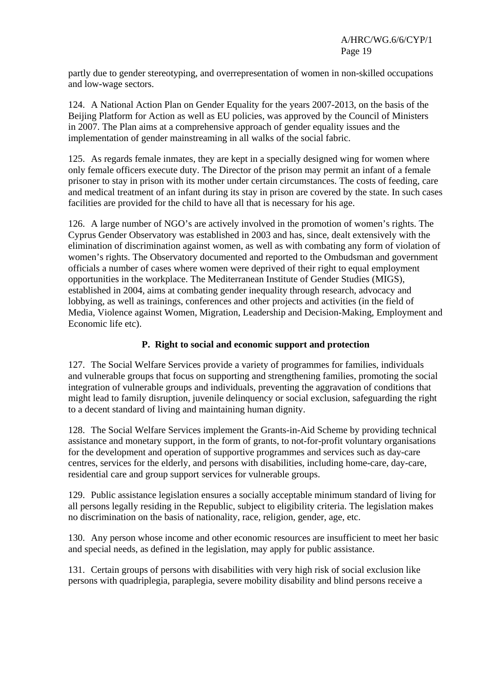partly due to gender stereotyping, and overrepresentation of women in non-skilled occupations and low-wage sectors.

124. A National Action Plan on Gender Equality for the years 2007-2013, on the basis of the Beijing Platform for Action as well as EU policies, was approved by the Council of Ministers in 2007. The Plan aims at a comprehensive approach of gender equality issues and the implementation of gender mainstreaming in all walks of the social fabric.

125. As regards female inmates, they are kept in a specially designed wing for women where only female officers execute duty. The Director of the prison may permit an infant of a female prisoner to stay in prison with its mother under certain circumstances. The costs of feeding, care and medical treatment of an infant during its stay in prison are covered by the state. In such cases facilities are provided for the child to have all that is necessary for his age.

126. A large number of NGO's are actively involved in the promotion of women's rights. The Cyprus Gender Observatory was established in 2003 and has, since, dealt extensively with the elimination of discrimination against women, as well as with combating any form of violation of women's rights. The Observatory documented and reported to the Ombudsman and government officials a number of cases where women were deprived of their right to equal employment opportunities in the workplace. The Mediterranean Institute of Gender Studies (MIGS), established in 2004, aims at combating gender inequality through research, advocacy and lobbying, as well as trainings, conferences and other projects and activities (in the field of Media, Violence against Women, Migration, Leadership and Decision-Making, Employment and Economic life etc).

# **P. Right to social and economic support and protection**

127. The Social Welfare Services provide a variety of programmes for families, individuals and vulnerable groups that focus on supporting and strengthening families, promoting the social integration of vulnerable groups and individuals, preventing the aggravation of conditions that might lead to family disruption, juvenile delinquency or social exclusion, safeguarding the right to a decent standard of living and maintaining human dignity.

128. The Social Welfare Services implement the Grants-in-Aid Scheme by providing technical assistance and monetary support, in the form of grants, to not-for-profit voluntary organisations for the development and operation of supportive programmes and services such as day-care centres, services for the elderly, and persons with disabilities, including home-care, day-care, residential care and group support services for vulnerable groups.

129. Public assistance legislation ensures a socially acceptable minimum standard of living for all persons legally residing in the Republic, subject to eligibility criteria. The legislation makes no discrimination on the basis of nationality, race, religion, gender, age, etc.

130. Any person whose income and other economic resources are insufficient to meet her basic and special needs, as defined in the legislation, may apply for public assistance.

131. Certain groups of persons with disabilities with very high risk of social exclusion like persons with quadriplegia, paraplegia, severe mobility disability and blind persons receive a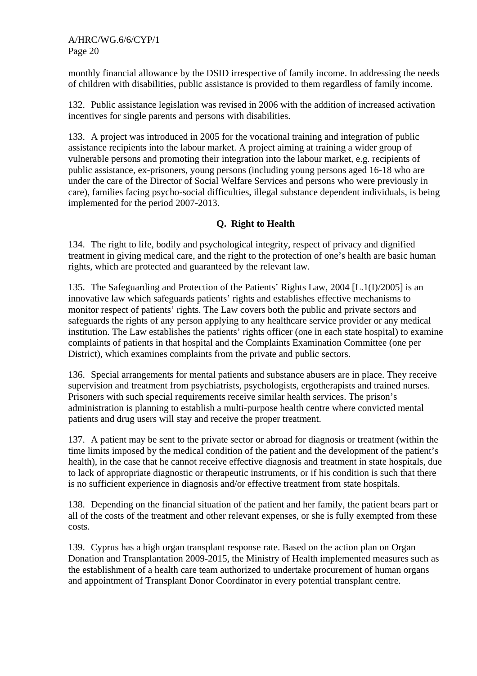monthly financial allowance by the DSID irrespective of family income. In addressing the needs of children with disabilities, public assistance is provided to them regardless of family income.

132. Public assistance legislation was revised in 2006 with the addition of increased activation incentives for single parents and persons with disabilities.

133. A project was introduced in 2005 for the vocational training and integration of public assistance recipients into the labour market. A project aiming at training a wider group of vulnerable persons and promoting their integration into the labour market, e.g. recipients of public assistance, ex-prisoners, young persons (including young persons aged 16-18 who are under the care of the Director of Social Welfare Services and persons who were previously in care), families facing psycho-social difficulties, illegal substance dependent individuals, is being implemented for the period 2007-2013.

## **Q. Right to Health**

134. The right to life, bodily and psychological integrity, respect of privacy and dignified treatment in giving medical care, and the right to the protection of one's health are basic human rights, which are protected and guaranteed by the relevant law.

135. The Safeguarding and Protection of the Patients' Rights Law, 2004 [L.1(I)/2005] is an innovative law which safeguards patients' rights and establishes effective mechanisms to monitor respect of patients' rights. The Law covers both the public and private sectors and safeguards the rights of any person applying to any healthcare service provider or any medical institution. The Law establishes the patients' rights officer (one in each state hospital) to examine complaints of patients in that hospital and the Complaints Examination Committee (one per District), which examines complaints from the private and public sectors.

136. Special arrangements for mental patients and substance abusers are in place. They receive supervision and treatment from psychiatrists, psychologists, ergotherapists and trained nurses. Prisoners with such special requirements receive similar health services. The prison's administration is planning to establish a multi-purpose health centre where convicted mental patients and drug users will stay and receive the proper treatment.

137. A patient may be sent to the private sector or abroad for diagnosis or treatment (within the time limits imposed by the medical condition of the patient and the development of the patient's health), in the case that he cannot receive effective diagnosis and treatment in state hospitals, due to lack of appropriate diagnostic or therapeutic instruments, or if his condition is such that there is no sufficient experience in diagnosis and/or effective treatment from state hospitals.

138. Depending on the financial situation of the patient and her family, the patient bears part or all of the costs of the treatment and other relevant expenses, or she is fully exempted from these costs.

139. Cyprus has a high organ transplant response rate. Based on the action plan on Organ Donation and Transplantation 2009-2015, the Ministry of Health implemented measures such as the establishment of a health care team authorized to undertake procurement of human organs and appointment of Transplant Donor Coordinator in every potential transplant centre.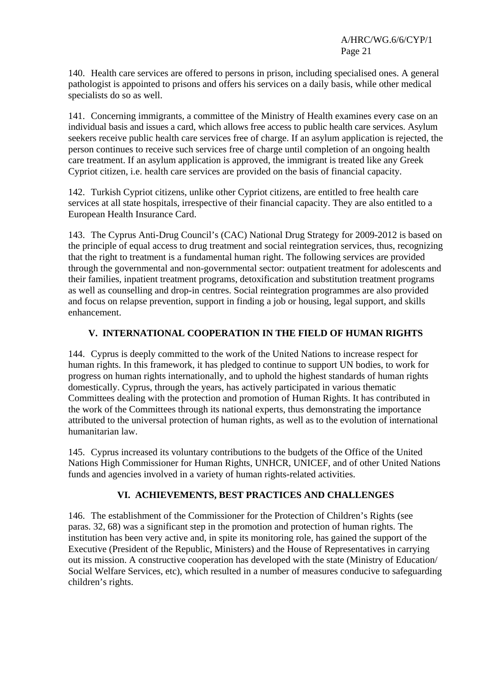140. Health care services are offered to persons in prison, including specialised ones. A general pathologist is appointed to prisons and offers his services on a daily basis, while other medical specialists do so as well.

141. Concerning immigrants, a committee of the Ministry of Health examines every case on an individual basis and issues a card, which allows free access to public health care services. Asylum seekers receive public health care services free of charge. If an asylum application is rejected, the person continues to receive such services free of charge until completion of an ongoing health care treatment. If an asylum application is approved, the immigrant is treated like any Greek Cypriot citizen, i.e. health care services are provided on the basis of financial capacity.

142. Turkish Cypriot citizens, unlike other Cypriot citizens, are entitled to free health care services at all state hospitals, irrespective of their financial capacity. They are also entitled to a European Health Insurance Card.

143. The Cyprus Anti-Drug Council's (CAC) National Drug Strategy for 2009-2012 is based on the principle of equal access to drug treatment and social reintegration services, thus, recognizing that the right to treatment is a fundamental human right. The following services are provided through the governmental and non-governmental sector: outpatient treatment for adolescents and their families, inpatient treatment programs, detoxification and substitution treatment programs as well as counselling and drop-in centres. Social reintegration programmes are also provided and focus on relapse prevention, support in finding a job or housing, legal support, and skills enhancement.

## **V. INTERNATIONAL COOPERATION IN THE FIELD OF HUMAN RIGHTS**

144. Cyprus is deeply committed to the work of the United Nations to increase respect for human rights. In this framework, it has pledged to continue to support UN bodies, to work for progress on human rights internationally, and to uphold the highest standards of human rights domestically. Cyprus, through the years, has actively participated in various thematic Committees dealing with the protection and promotion of Human Rights. It has contributed in the work of the Committees through its national experts, thus demonstrating the importance attributed to the universal protection of human rights, as well as to the evolution of international humanitarian law.

145. Cyprus increased its voluntary contributions to the budgets of the Office of the United Nations High Commissioner for Human Rights, UNHCR, UNICEF, and of other United Nations funds and agencies involved in a variety of human rights-related activities.

#### **VI. ACHIEVEMENTS, BEST PRACTICES AND CHALLENGES**

146. The establishment of the Commissioner for the Protection of Children's Rights (see paras. 32, 68) was a significant step in the promotion and protection of human rights. The institution has been very active and, in spite its monitoring role, has gained the support of the Executive (President of the Republic, Ministers) and the House of Representatives in carrying out its mission. A constructive cooperation has developed with the state (Ministry of Education/ Social Welfare Services, etc), which resulted in a number of measures conducive to safeguarding children's rights.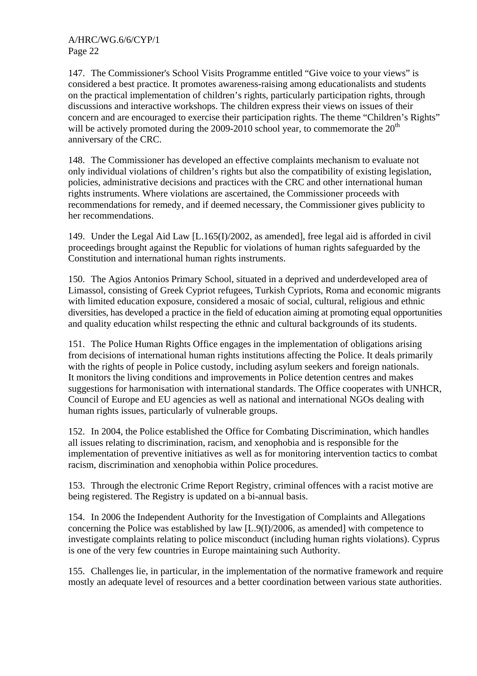147. The Commissioner's School Visits Programme entitled "Give voice to your views" is considered a best practice. It promotes awareness-raising among educationalists and students on the practical implementation of children's rights, particularly participation rights, through discussions and interactive workshops. The children express their views on issues of their concern and are encouraged to exercise their participation rights. The theme "Children's Rights" will be actively promoted during the  $2009-2010$  school year, to commemorate the  $20<sup>th</sup>$ anniversary of the CRC.

148. The Commissioner has developed an effective complaints mechanism to evaluate not only individual violations of children's rights but also the compatibility of existing legislation, policies, administrative decisions and practices with the CRC and other international human rights instruments. Where violations are ascertained, the Commissioner proceeds with recommendations for remedy, and if deemed necessary, the Commissioner gives publicity to her recommendations.

149. Under the Legal Aid Law [L.165(I)/2002, as amended], free legal aid is afforded in civil proceedings brought against the Republic for violations of human rights safeguarded by the Constitution and international human rights instruments.

150. The Agios Antonios Primary School, situated in a deprived and underdeveloped area of Limassol, consisting of Greek Cypriot refugees, Turkish Cypriots, Roma and economic migrants with limited education exposure, considered a mosaic of social, cultural, religious and ethnic diversities, has developed a practice in the field of education aiming at promoting equal opportunities and quality education whilst respecting the ethnic and cultural backgrounds of its students.

151. The Police Human Rights Office engages in the implementation of obligations arising from decisions of international human rights institutions affecting the Police. It deals primarily with the rights of people in Police custody, including asylum seekers and foreign nationals. It monitors the living conditions and improvements in Police detention centres and makes suggestions for harmonisation with international standards. The Office cooperates with UNHCR, Council of Europe and EU agencies as well as national and international NGOs dealing with human rights issues, particularly of vulnerable groups.

152. In 2004, the Police established the Office for Combating Discrimination, which handles all issues relating to discrimination, racism, and xenophobia and is responsible for the implementation of preventive initiatives as well as for monitoring intervention tactics to combat racism, discrimination and xenophobia within Police procedures.

153. Through the electronic Crime Report Registry, criminal offences with a racist motive are being registered. The Registry is updated on a bi-annual basis.

154. In 2006 the Independent Authority for the Investigation of Complaints and Allegations concerning the Police was established by law [L.9(I)/2006, as amended] with competence to investigate complaints relating to police misconduct (including human rights violations). Cyprus is one of the very few countries in Europe maintaining such Authority.

155. Challenges lie, in particular, in the implementation of the normative framework and require mostly an adequate level of resources and a better coordination between various state authorities.